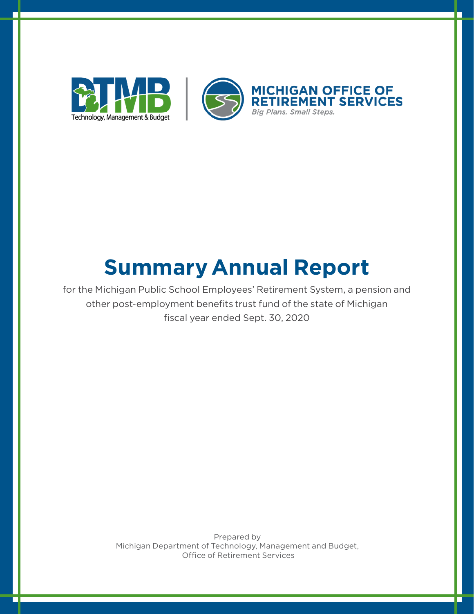

# **Summary Annual Report**

for the Michigan Public School Employees' Retirement System, a pension and other post-employment benefits trust fund of the state of Michigan fiscal year ended Sept. 30, 2020

> Prepared by Michigan Department of Technology, Management and Budget, Office of Retirement Services

г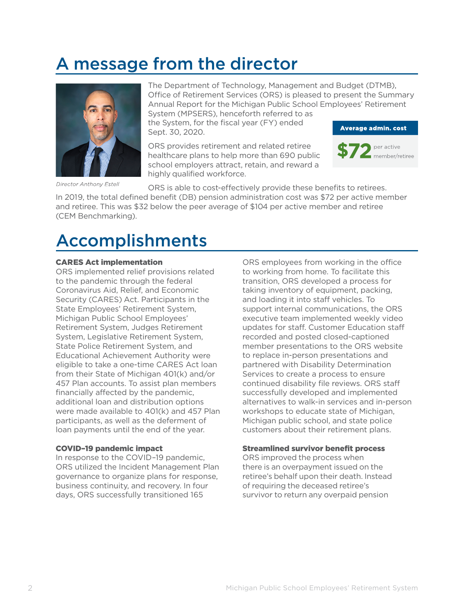## A message from the director



Director Anthony Estell

The Department of Technology, Management and Budget (DTMB), Office of Retirement Services (ORS) is pleased to present the Summary Annual Report for the Michigan Public School Employees' Retirement System (MPSERS), henceforth referred to as

the System, for the fiscal year (FY) ended Sept. 30, 2020.

ORS provides retirement and related retiree healthcare plans to help more than 690 public school employers attract, retain, and reward a highly qualified workforce.





ORS is able to cost-effectively provide these benefits to retirees.

In 2019, the total defined benefit (DB) pension administration cost was \$72 per active member and retiree. This was \$32 below the peer average of \$104 per active member and retiree (CEM Benchmarking).

### Accomplishments

### CARES Act implementation

ORS implemented relief provisions related to the pandemic through the federal Coronavirus Aid, Relief, and Economic Security (CARES) Act. Participants in the State Employees' Retirement System, Michigan Public School Employees' Retirement System, Judges Retirement System, Legislative Retirement System, State Police Retirement System, and Educational Achievement Authority were eligible to take a one-time CARES Act loan from their State of Michigan 401(k) and/or 457 Plan accounts. To assist plan members financially affected by the pandemic, additional loan and distribution options were made available to 401(k) and 457 Plan participants, as well as the deferment of loan payments until the end of the year.

#### COVID–19 pandemic impact

In response to the COVID–19 pandemic, ORS utilized the Incident Management Plan governance to organize plans for response, business continuity, and recovery. In four days, ORS successfully transitioned 165

ORS employees from working in the office to working from home. To facilitate this transition, ORS developed a process for taking inventory of equipment, packing, and loading it into staff vehicles. To support internal communications, the ORS executive team implemented weekly video updates for staff. Customer Education staff recorded and posted closed-captioned member presentations to the ORS website to replace in-person presentations and partnered with Disability Determination Services to create a process to ensure continued disability file reviews. ORS staff successfully developed and implemented alternatives to walk-in services and in-person workshops to educate state of Michigan, Michigan public school, and state police customers about their retirement plans.

### Streamlined survivor benefit process

ORS improved the process when there is an overpayment issued on the retiree's behalf upon their death. Instead of requiring the deceased retiree's survivor to return any overpaid pension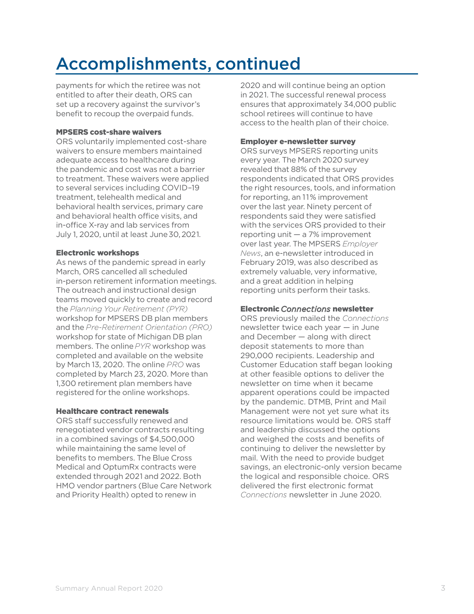## Accomplishments, continued

payments for which the retiree was not entitled to after their death, ORS can set up a recovery against the survivor's benefit to recoup the overpaid funds.

#### MPSERS cost-share waivers

ORS voluntarily implemented cost-share waivers to ensure members maintained adequate access to healthcare during the pandemic and cost was not a barrier to treatment. These waivers were applied to several services including COVID–19 treatment, telehealth medical and behavioral health services, primary care and behavioral health office visits, and in-office X-ray and lab services from July 1, 2020, until at least June 30, 2021.

#### Electronic workshops

As news of the pandemic spread in early March, ORS cancelled all scheduled in-person retirement information meetings. The outreach and instructional design teams moved quickly to create and record the *Planning Your Retirement (PYR)* workshop for MPSERS DB plan members and the *Pre-Retirement Orientation (PRO)* workshop for state of Michigan DB plan members. The online *PYR* workshop was completed and available on the website by March 13, 2020. The online *PRO* was completed by March 23, 2020. More than 1,300 retirement plan members have registered for the online workshops.

#### Healthcare contract renewals

ORS staff successfully renewed and renegotiated vendor contracts resulting in a combined savings of \$4,500,000 while maintaining the same level of benefits to members. The Blue Cross Medical and OptumRx contracts were extended through 2021 and 2022. Both HMO vendor partners (Blue Care Network and Priority Health) opted to renew in

2020 and will continue being an option in 2021. The successful renewal process ensures that approximately 34,000 public school retirees will continue to have access to the health plan of their choice.

### Employer e-newsletter survey

ORS surveys MPSERS reporting units every year. The March 2020 survey revealed that 88% of the survey respondents indicated that ORS provides the right resources, tools, and information for reporting, an 11% improvement over the last year. Ninety percent of respondents said they were satisfied with the services ORS provided to their reporting unit — a 7% improvement over last year. The MPSERS *Employer News*, an e-newsletter introduced in February 2019, was also described as extremely valuable, very informative, and a great addition in helping reporting units perform their tasks.

### Electronic *Connections* newsletter

ORS previously mailed the *Connections* newsletter twice each year — in June and December — along with direct deposit statements to more than 290,000 recipients. Leadership and Customer Education staff began looking at other feasible options to deliver the newsletter on time when it became apparent operations could be impacted by the pandemic. DTMB, Print and Mail Management were not yet sure what its resource limitations would be. ORS staff and leadership discussed the options and weighed the costs and benefits of continuing to deliver the newsletter by mail. With the need to provide budget savings, an electronic-only version became the logical and responsible choice. ORS delivered the first electronic format *Connections* newsletter in June 2020.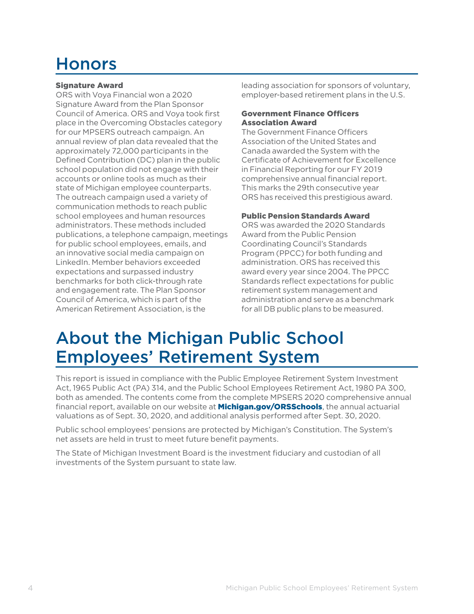## Honors

### Signature Award

ORS with Voya Financial won a 2020 Signature Award from the Plan Sponsor Council of America. ORS and Voya took first place in the Overcoming Obstacles category for our MPSERS outreach campaign. An annual review of plan data revealed that the approximately 72,000 participants in the Defined Contribution (DC) plan in the public school population did not engage with their accounts or online tools as much as their state of Michigan employee counterparts. The outreach campaign used a variety of communication methods to reach public school employees and human resources administrators. These methods included publications, a telephone campaign, meetings for public school employees, emails, and an innovative social media campaign on LinkedIn. Member behaviors exceeded expectations and surpassed industry benchmarks for both click-through rate and engagement rate. The Plan Sponsor Council of America, which is part of the American Retirement Association, is the

leading association for sponsors of voluntary, employer-based retirement plans in the U.S.

### Government Finance Officers Association Award

The Government Finance Officers Association of the United States and Canada awarded the System with the Certificate of Achievement for Excellence in Financial Reporting for our FY 2019 comprehensive annual financial report. This marks the 29th consecutive year ORS has received this prestigious award.

### Public Pension Standards Award

ORS was awarded the 2020 Standards Award from the Public Pension Coordinating Council's Standards Program (PPCC) for both funding and administration. ORS has received this award every year since 2004. The PPCC Standards reflect expectations for public retirement system management and administration and serve as a benchmark for all DB public plans to be measured.

### About the Michigan Public School Employees' Retirement System

This report is issued in compliance with the Public Employee Retirement System Investment Act, 1965 Public Act (PA) 314, and the Public School Employees Retirement Act, 1980 PA 300, both as amended. The contents come from the complete MPSERS 2020 comprehensive annual financial report, available on our website at **[Michigan.gov/ORSSchools](http://www.michigan.gov/orsschools)**, the annual actuarial valuations as of Sept. 30, 2020, and additional analysis performed after Sept. 30, 2020.

Public school employees' pensions are protected by Michigan's Constitution. The System's net assets are held in trust to meet future benefit payments.

The State of Michigan Investment Board is the investment fiduciary and custodian of all investments of the System pursuant to state law.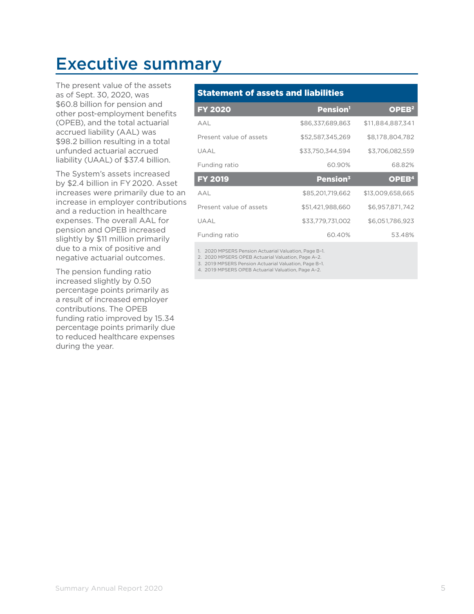### Executive summary

The present value of the assets as of Sept. 30, 2020, was \$60.8 billion for pension and other post-employment benefits (OPEB), and the total actuarial accrued liability (AAL) was \$98.2 billion resulting in a total unfunded actuarial accrued liability (UAAL) of \$37.4 billion.

The System's assets increased by \$2.4 billion in FY 2020. Asset increases were primarily due to an increase in employer contributions and a reduction in healthcare expenses. The overall AAL for pension and OPEB increased slightly by \$11 million primarily due to a mix of positive and negative actuarial outcomes.

The pension funding ratio increased slightly by 0.50 percentage points primarily as a result of increased employer contributions. The OPEB funding ratio improved by 15.34 percentage points primarily due to reduced healthcare expenses during the year.

### Statement of assets and liabilities

| <b>FY 2020</b>          | <b>Pension</b> <sup>1</sup> | OPEB <sup>2</sup> |
|-------------------------|-----------------------------|-------------------|
| AAL                     | \$86.337.689.863            | \$11.884.887.341  |
| Present value of assets | \$52,587,345,269            | \$8,178,804,782   |
| UAAL                    | \$33,750,344,594            | \$3,706,082,559   |
| Funding ratio           | 60.90%                      | 68.82%            |
| <b>FY 2019</b>          | Pension <sup>3</sup>        | OPEB <sup>4</sup> |
| A A I                   | \$85,201,719,662            | \$13,009,658,665  |
| Present value of assets | \$51,421,988,660            | \$6,957,871,742   |
| UAAL                    | \$33.779.731.002            | \$6.051.786.923   |
| Funding ratio           | 60.40%                      | 53.48%            |

1. 2020 MPSERS Pension Actuarial Valuation, Page B–1.

2. 2020 MPSERS OPEB Actuarial Valuation, Page A–2.

3. 2019 MPSERS Pension Actuarial Valuation, Page B–1.

4. 2019 MPSERS OPEB Actuarial Valuation, Page A–2.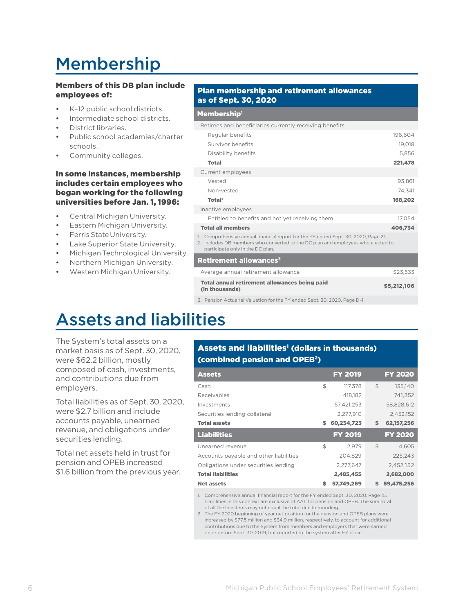## Membership

### Members of this DB plan include employees of:

- K–12 public school districts.
- Intermediate school districts.
- District libraries.
- Public school academies/charter schools.
- Community colleges.

#### In some instances, membership includes certain employees who began working for the following universities before Jan. 1, 1996:

- Central Michigan University.
- Eastern Michigan University.
- Ferris State University.
- Lake Superior State University.
- Michigan Technological University.
- Northern Michigan University.
- Western Michigan University.

#### Plan membership and retirement allowances as of Sept. 30, 2020

#### Membership<sup>1</sup>

| Retirees and beneficiaries currently receiving benefits                                                                                                                                                    |             |
|------------------------------------------------------------------------------------------------------------------------------------------------------------------------------------------------------------|-------------|
| Regular benefits                                                                                                                                                                                           | 196,604     |
| Survivor benefits                                                                                                                                                                                          | 19,018      |
| Disability benefits                                                                                                                                                                                        | 5.856       |
| <b>Total</b>                                                                                                                                                                                               | 221,478     |
| Current employees                                                                                                                                                                                          |             |
| Vested                                                                                                                                                                                                     | 93.861      |
| Non-vested                                                                                                                                                                                                 | 74.341      |
| Total <sup>2</sup>                                                                                                                                                                                         | 168,202     |
| Inactive employees                                                                                                                                                                                         |             |
| Entitled to benefits and not yet receiving them                                                                                                                                                            | 17,054      |
| <b>Total all members</b>                                                                                                                                                                                   | 406,734     |
| 1. Comprehensive annual financial report for the FY ended Sept. 30, 2020, Page 21.<br>2. Includes DB members who converted to the DC plan and employees who elected to<br>participate only in the DC plan. |             |
| <b>Retirement allowances<sup>3</sup></b>                                                                                                                                                                   |             |
| Average annual retirement allowance                                                                                                                                                                        | \$23,533    |
| <b>Total annual retirement allowances being paid</b><br>(in thousands)                                                                                                                                     | \$5,212,106 |

3. Pension Actuarial Valuation for the FY ended Sept. 30, 2020, Page D–1.

## Assets and liabilities

The System's total assets on a market basis as of Sept.30, 2020, were \$62.2 billion, mostly composed of cash, investments, and contributions due from employers.

Total liabilities as of Sept.30, 2020, were \$2.7 billion and include accounts payable, unearned revenue, and obligations under securities lending.

Total net assets held in trust for pension and OPEB increased \$1.6 billion from the previous year.

### Assets and liabilities<sup>1</sup> (dollars in thousands) (combined pension and OPEB2)

| <b>Assets</b>                          |    | <b>FY 2019</b> |                | <b>FY 2020</b> |
|----------------------------------------|----|----------------|----------------|----------------|
| Cash                                   | \$ | 117,378        | $\mathfrak{L}$ | 135.140        |
| Receivables                            |    | 418,182        |                | 741,352        |
| Investments                            |    | 57,421,253     |                | 58,828,612     |
| Securities lending collateral          |    | 2.277.910      |                | 2.452.152      |
| <b>Total assets</b>                    | S  | 60,234,723     | \$             | 62, 157, 256   |
| <b>Liabilities</b>                     |    | <b>FY 2019</b> |                | <b>FY 2020</b> |
| Unearned revenue                       | \$ | 2.979          | $\mathfrak{S}$ | 4.605          |
| Accounts payable and other liabilities |    | 204,829        |                | 225,243        |
| Obligations under securities lending   |    | 2,277,647      |                | 2,452,152      |
| <b>Total liabilities</b>               |    | 2,485,455      |                | 2,682,000      |
| <b>Net assets</b>                      | s  | 57,749,269     | \$             | 59.475.256     |

1. Comprehensive annual financial report for the FY ended Sept. 30, 2020, Page 15. Liabilities in this context are exclusive of AAL for pension and OPEB. The sum total of all the line items may not equal the total due to rounding.

2. The FY 2020 beginning of year net position for the pension and OPEB plans were increased by \$77.5 million and \$34.9 million, respectively, to account for additional contributions due to the System from members and employers that were earned on or before Sept. 30, 2019, but reported to the system after FY close.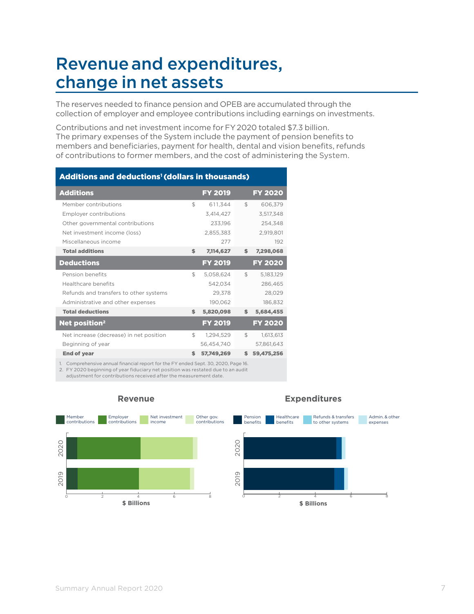### Revenue and expenditures, change in net assets

The reserves needed to finance pension and OPEB are accumulated through the collection of employer and employee contributions including earnings on investments.

Contributions and net investment income for FY2020 totaled \$7.3 billion. The primary expenses of the System include the payment of pension benefits to members and beneficiaries, payment for health, dental and vision benefits, refunds of contributions to former members, and the cost of administering the System.

| Additions and deductions <sup>1</sup> (dollars in thousands) |                  |     |                |
|--------------------------------------------------------------|------------------|-----|----------------|
| <b>Additions</b>                                             | <b>FY 2019</b>   |     | <b>FY 2020</b> |
| Member contributions                                         | \$<br>611,344    | \$  | 606,379        |
| Employer contributions                                       | 3,414,427        |     | 3,517,348      |
| Other governmental contributions                             | 233,196          |     | 254,348        |
| Net investment income (loss)                                 | 2,855,383        |     | 2,919,801      |
| Miscellaneous income                                         | 277              |     | 192            |
| <b>Total additions</b>                                       | \$<br>7,114,627  | \$  | 7,298,068      |
| <b>Deductions</b>                                            | <b>FY 2019</b>   |     | <b>FY 2020</b> |
| Pension benefits                                             | \$<br>5.058.624  | \$  | 5,183,129      |
| Healthcare benefits                                          | 542.034          |     | 286,465        |
| Refunds and transfers to other systems                       | 29,378           |     | 28,029         |
| Administrative and other expenses                            | 190,062          |     | 186,832        |
| <b>Total deductions</b>                                      | \$<br>5,820,098  | \$. | 5,684,455      |
| <b>Net position<sup>2</sup></b>                              | <b>FY 2019</b>   |     | <b>FY 2020</b> |
| Net increase (decrease) in net position                      | \$<br>1,294,529  | \$  | 1,613,613      |
| Beginning of year                                            | 56,454,740       |     | 57,861,643     |
| <b>End of year</b>                                           | \$<br>57,749,269 | s   | 59,475,256     |

1. Comprehensive annual financial report for the FY ended Sept. 30, 2020, Page 16.

2. FY 2020 beginning of year fiduciary net position was restated due to an audit

adjustment for contributions received after the measurement date.



#### **Revenue**

#### **Expenditures**



Summary Annual Report 2020 **7** and 2020 **7** and 2020 **7** and 2020 **7** and 2021 **7** and 2020 **7** and 2020 **7** and 2020 **7** and 2020 **7** and 2020 **7** and 2020 **7** and 2020 **7** and 2020 **7** and 2020 **7** and 2020 **7** and 2020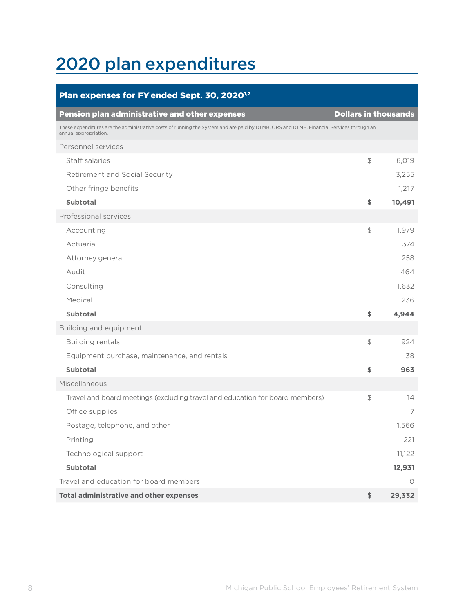## 2020 plan expenditures

| Plan expenses for FY ended Sept. 30, 2020 <sup>1,2</sup>                                                                                                         |                             |         |
|------------------------------------------------------------------------------------------------------------------------------------------------------------------|-----------------------------|---------|
| <b>Pension plan administrative and other expenses</b>                                                                                                            | <b>Dollars in thousands</b> |         |
| These expenditures are the administrative costs of running the System and are paid by DTMB, ORS and DTMB, Financial Services through an<br>annual appropriation. |                             |         |
| Personnel services                                                                                                                                               |                             |         |
| Staff salaries                                                                                                                                                   | $\frac{1}{2}$               | 6,019   |
| <b>Retirement and Social Security</b>                                                                                                                            |                             | 3,255   |
| Other fringe benefits                                                                                                                                            |                             | 1,217   |
| <b>Subtotal</b>                                                                                                                                                  | \$                          | 10,491  |
| Professional services                                                                                                                                            |                             |         |
| Accounting                                                                                                                                                       | $$\mathbb{S}$$              | 1,979   |
| Actuarial                                                                                                                                                        |                             | 374     |
| Attorney general                                                                                                                                                 |                             | 258     |
| Audit                                                                                                                                                            |                             | 464     |
| Consulting                                                                                                                                                       |                             | 1,632   |
| Medical                                                                                                                                                          |                             | 236     |
| <b>Subtotal</b>                                                                                                                                                  | \$                          | 4,944   |
| Building and equipment                                                                                                                                           |                             |         |
| <b>Building rentals</b>                                                                                                                                          | $$\mathbb{S}$$              | 924     |
| Equipment purchase, maintenance, and rentals                                                                                                                     |                             | 38      |
| <b>Subtotal</b>                                                                                                                                                  | \$                          | 963     |
| Miscellaneous                                                                                                                                                    |                             |         |
| Travel and board meetings (excluding travel and education for board members)                                                                                     | $$\mathbb{S}$$              | 14      |
| Office supplies                                                                                                                                                  |                             | 7       |
| Postage, telephone, and other                                                                                                                                    |                             | 1,566   |
| Printing                                                                                                                                                         |                             | 221     |
| Technological support                                                                                                                                            |                             | 11,122  |
| <b>Subtotal</b>                                                                                                                                                  |                             | 12,931  |
| Travel and education for board members                                                                                                                           |                             | $\circ$ |
| <b>Total administrative and other expenses</b>                                                                                                                   | \$                          | 29,332  |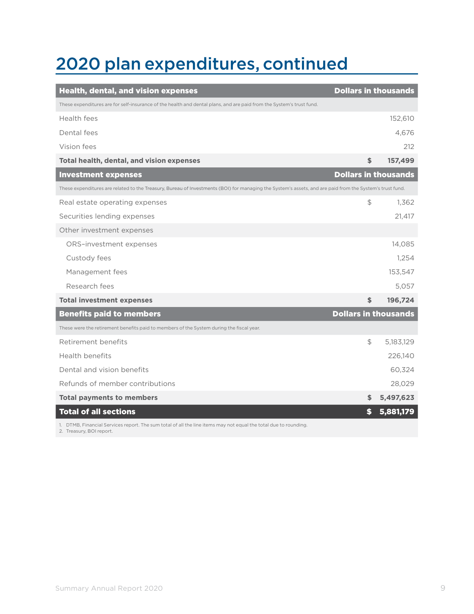## 2020 plan expenditures, continued

| <b>Health, dental, and vision expenses</b>                                                                                                               | <b>Dollars in thousands</b> |           |
|----------------------------------------------------------------------------------------------------------------------------------------------------------|-----------------------------|-----------|
| These expenditures are for self-insurance of the health and dental plans, and are paid from the System's trust fund.                                     |                             |           |
| Health fees                                                                                                                                              |                             | 152,610   |
| Dental fees                                                                                                                                              |                             | 4,676     |
| Vision fees                                                                                                                                              |                             | 212       |
| Total health, dental, and vision expenses                                                                                                                | \$                          | 157,499   |
| <b>Investment expenses</b>                                                                                                                               | <b>Dollars in thousands</b> |           |
| These expenditures are related to the Treasury, Bureau of Investments (BOI) for managing the System's assets, and are paid from the System's trust fund. |                             |           |
| Real estate operating expenses                                                                                                                           | \$                          | 1,362     |
| Securities lending expenses                                                                                                                              |                             | 21.417    |
| Other investment expenses                                                                                                                                |                             |           |
| ORS-investment expenses                                                                                                                                  |                             | 14,085    |
| Custody fees                                                                                                                                             |                             | 1,254     |
| Management fees                                                                                                                                          |                             | 153,547   |
| Research fees                                                                                                                                            |                             | 5.057     |
| <b>Total investment expenses</b>                                                                                                                         | \$                          | 196,724   |
| <b>Benefits paid to members</b>                                                                                                                          | <b>Dollars in thousands</b> |           |
| These were the retirement benefits paid to members of the System during the fiscal year.                                                                 |                             |           |
| Retirement benefits                                                                                                                                      | \$                          | 5,183,129 |
| Health benefits                                                                                                                                          |                             | 226,140   |
| Dental and vision benefits                                                                                                                               |                             | 60,324    |
| Refunds of member contributions                                                                                                                          |                             | 28,029    |
| <b>Total payments to members</b>                                                                                                                         | \$                          | 5,497,623 |
| <b>Total of all sections</b>                                                                                                                             | \$                          | 5,881,179 |
| 1. DTMB, Financial Services report. The sum total of all the line items may not equal the total due to rounding.<br>2. Treasury, BOI report.             |                             |           |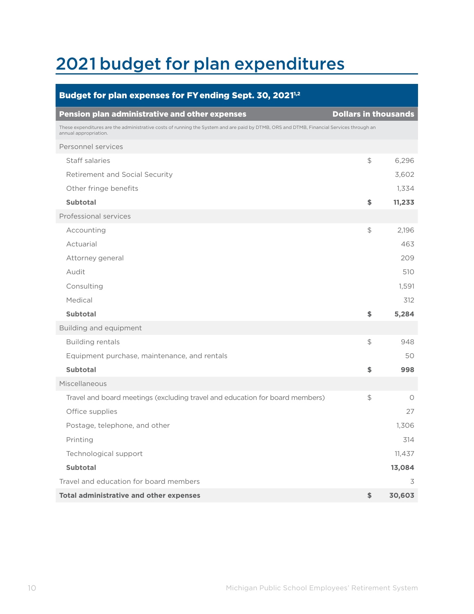## 2021 budget for plan expenditures

| Budget for plan expenses for FY ending Sept. 30, 2021 <sup>1,2</sup>                                                                                             |                             |         |
|------------------------------------------------------------------------------------------------------------------------------------------------------------------|-----------------------------|---------|
| <b>Pension plan administrative and other expenses</b>                                                                                                            | <b>Dollars in thousands</b> |         |
| These expenditures are the administrative costs of running the System and are paid by DTMB, ORS and DTMB, Financial Services through an<br>annual appropriation. |                             |         |
| Personnel services                                                                                                                                               |                             |         |
| Staff salaries                                                                                                                                                   | $\frac{1}{2}$               | 6,296   |
| Retirement and Social Security                                                                                                                                   |                             | 3,602   |
| Other fringe benefits                                                                                                                                            |                             | 1,334   |
| <b>Subtotal</b>                                                                                                                                                  | \$                          | 11,233  |
| Professional services                                                                                                                                            |                             |         |
| Accounting                                                                                                                                                       | \$                          | 2,196   |
| Actuarial                                                                                                                                                        |                             | 463     |
| Attorney general                                                                                                                                                 |                             | 209     |
| Audit                                                                                                                                                            |                             | 510     |
| Consulting                                                                                                                                                       |                             | 1,591   |
| Medical                                                                                                                                                          |                             | 312     |
| <b>Subtotal</b>                                                                                                                                                  | \$                          | 5,284   |
| Building and equipment                                                                                                                                           |                             |         |
| <b>Building rentals</b>                                                                                                                                          | \$                          | 948     |
| Equipment purchase, maintenance, and rentals                                                                                                                     |                             | 50      |
| <b>Subtotal</b>                                                                                                                                                  | \$                          | 998     |
| Miscellaneous                                                                                                                                                    |                             |         |
| Travel and board meetings (excluding travel and education for board members)                                                                                     | \$                          | $\circ$ |
| Office supplies                                                                                                                                                  |                             | 27      |
| Postage, telephone, and other                                                                                                                                    |                             | 1,306   |
| Printing                                                                                                                                                         |                             | 314     |
| Technological support                                                                                                                                            |                             | 11,437  |
| <b>Subtotal</b>                                                                                                                                                  |                             | 13,084  |
| Travel and education for board members                                                                                                                           |                             | 3       |
| Total administrative and other expenses                                                                                                                          | \$                          | 30,603  |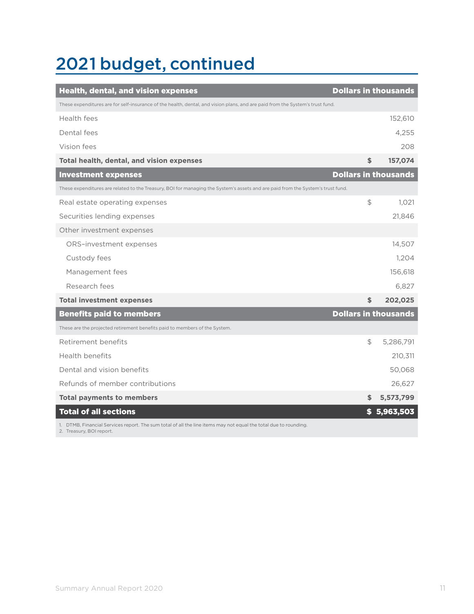## 2021 budget, continued

| <b>Health, dental, and vision expenses</b>                                                                                                   | <b>Dollars in thousands</b> |             |
|----------------------------------------------------------------------------------------------------------------------------------------------|-----------------------------|-------------|
| These expenditures are for self-insurance of the health, dental, and vision plans, and are paid from the System's trust fund.                |                             |             |
| Health fees                                                                                                                                  |                             | 152,610     |
| Dental fees                                                                                                                                  |                             | 4,255       |
| Vision fees                                                                                                                                  |                             | 208         |
| Total health, dental, and vision expenses                                                                                                    | \$                          | 157,074     |
| <b>Investment expenses</b>                                                                                                                   | <b>Dollars in thousands</b> |             |
| These expenditures are related to the Treasury, BOI for managing the System's assets and are paid from the System's trust fund.              |                             |             |
| Real estate operating expenses                                                                                                               | \$                          | 1,021       |
| Securities lending expenses                                                                                                                  |                             | 21,846      |
| Other investment expenses                                                                                                                    |                             |             |
| ORS-investment expenses                                                                                                                      |                             | 14,507      |
| Custody fees                                                                                                                                 |                             | 1,204       |
| Management fees                                                                                                                              |                             | 156,618     |
| Research fees                                                                                                                                |                             | 6,827       |
| <b>Total investment expenses</b>                                                                                                             | \$                          | 202,025     |
| <b>Benefits paid to members</b>                                                                                                              | <b>Dollars in thousands</b> |             |
| These are the projected retirement benefits paid to members of the System.                                                                   |                             |             |
| Retirement benefits                                                                                                                          | \$                          | 5,286,791   |
| Health benefits                                                                                                                              |                             | 210,311     |
| Dental and vision benefits                                                                                                                   |                             | 50,068      |
| Refunds of member contributions                                                                                                              |                             | 26,627      |
| <b>Total payments to members</b>                                                                                                             | \$                          | 5,573,799   |
| <b>Total of all sections</b>                                                                                                                 |                             | \$5,963,503 |
| 1. DTMB, Financial Services report. The sum total of all the line items may not equal the total due to rounding.<br>2. Treasury, BOI report. |                             |             |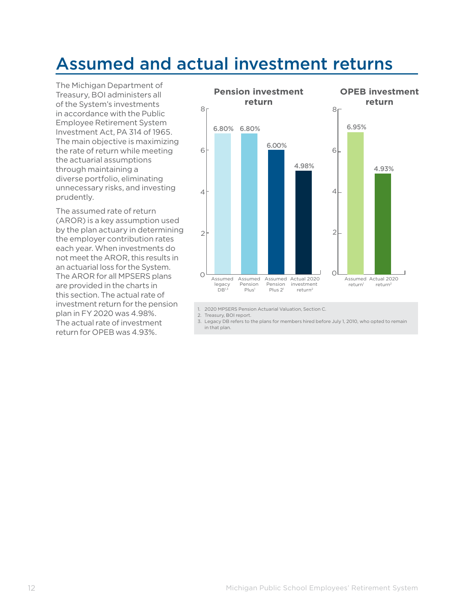### Assumed and actual investment returns

The Michigan Department of Treasury, BOI administers all of the System's investments in accordance with the Public Employee Retirement System Investment Act, PA 314 of 1965. The main objective is maximizing the rate of return while meeting the actuarial assumptions through maintaining a diverse portfolio, eliminating unnecessary risks, and investing prudently.

The assumed rate of return (AROR) is a key assumption used by the plan actuary in determining the employer contribution rates each year. When investments do not meet the AROR, this results in an actuarial loss for the System. The AROR for all MPSERS plans are provided in the charts in this section. The actual rate of investment return for the pension plan in FY 2020 was 4.98%. The actual rate of investment return for OPEB was 4.93%.



1. 2020 MPSERS Pension Actuarial Valuation, Section C.

2. Treasury, BOI report.

3. Legacy DB refers to the plans for members hired before July 1, 2010, who opted to remain in that plan.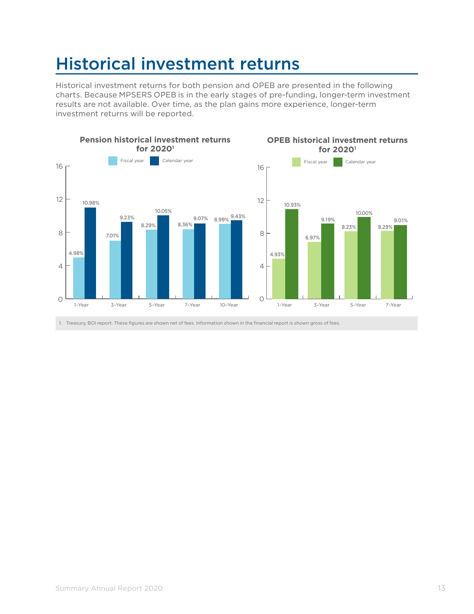## Historical investment returns

Historical investment returns for both pension and OPEB are presented in the following charts. Because MPSERS OPEB is in the early stages of pre-funding, longer-term investment results are not available. Over time, as the plan gains more experience, longer-term investment returns will be reported.



1. Treasury, BOI report. These figures are shown net of fees. Information shown in the financial report is shown gross of fees.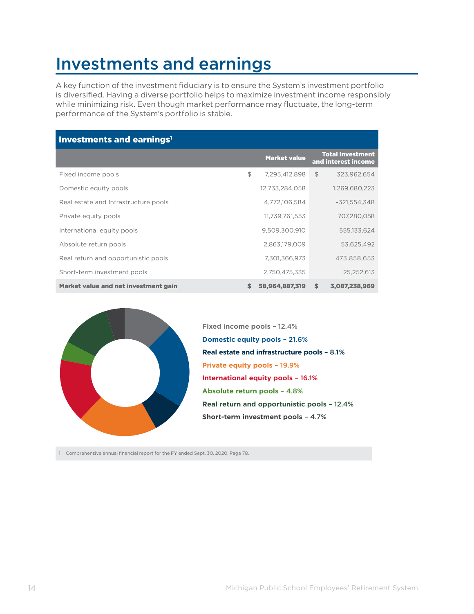### Investments and earnings

A key function of the investment fiduciary is to ensure the System's investment portfolio is diversified. Having a diverse portfolio helps to maximize investment income responsibly while minimizing risk. Even though market performance may fluctuate, the long-term performance of the System's portfolio is stable.

| Investments and earnings <sup>1</sup> |    |                     |                                                |
|---------------------------------------|----|---------------------|------------------------------------------------|
|                                       |    | <b>Market value</b> | <b>Total investment</b><br>and interest income |
| Fixed income pools                    | \$ | 7,295,412,898       | $\mathfrak{L}$<br>323.962.654                  |
| Domestic equity pools                 |    | 12,733,284,058      | 1,269,680,223                                  |
| Real estate and Infrastructure pools  |    | 4,772,106,584       | $-321,554,348$                                 |
| Private equity pools                  |    | 11,739,761,553      | 707,280,058                                    |
| International equity pools            |    | 9,509,300,910       | 555,133,624                                    |
| Absolute return pools                 |    | 2,863,179,009       | 53.625.492                                     |
| Real return and opportunistic pools   |    | 7,301,366,973       | 473,858,653                                    |
| Short-term investment pools           |    | 2,750,475,335       | 25,252,613                                     |
| Market value and net investment gain  | s  | 58,964,887,319      | \$<br>3,087,238,969                            |



**Domestic equity pools** – 21.6% **Private equity pools** – 19.9% **International equity pools** – 16.1% **Real estate and infrastructure pools** – 8.1% **Absolute return pools** – 4.8% **Real return and opportunistic pools** – 12.4% **Short-term investment pools** – 4.7% **Fixed income pools** – 12.4%

1. Comprehensive annual financial report for the FY ended Sept. 30, 2020, Page 78.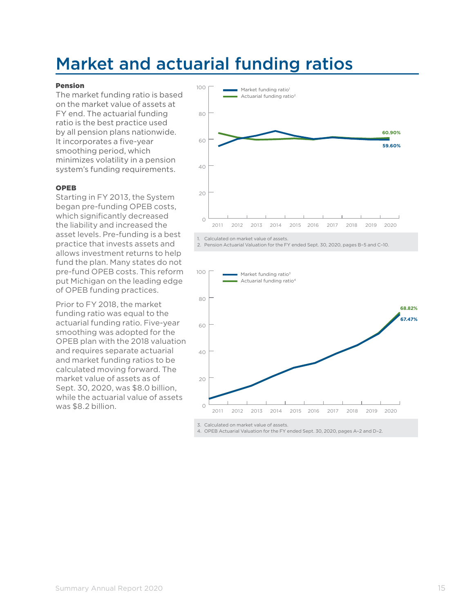## Market and actuarial funding ratios

#### Pension

The market funding ratio is based on the market value of assets at FY end. The actuarial funding ratio is the best practice used by all pension plans nationwide. It incorporates a five-year smoothing period, which minimizes volatility in a pension system's funding requirements.

#### OPEB

Starting in FY 2013, the System began pre-funding OPEB costs, which significantly decreased the liability and increased the asset levels. Pre-funding is a best practice that invests assets and allows investment returns to help fund the plan. Many states do not pre-fund OPEB costs. This reform put Michigan on the leading edge of OPEB funding practices.

Prior to FY 2018, the market funding ratio was equal to the actuarial funding ratio. Five-year smoothing was adopted for the OPEB plan with the 2018 valuation and requires separate actuarial and market funding ratios to be calculated moving forward. The market value of assets as of Sept. 30, 2020, was \$8.0 billion, while the actuarial value of assets was \$8.2 billion.







3. Calculated on market value of assets.

4. OPEB Actuarial Valuation for the FY ended Sept. 30, 2020, pages A–2 and D–2.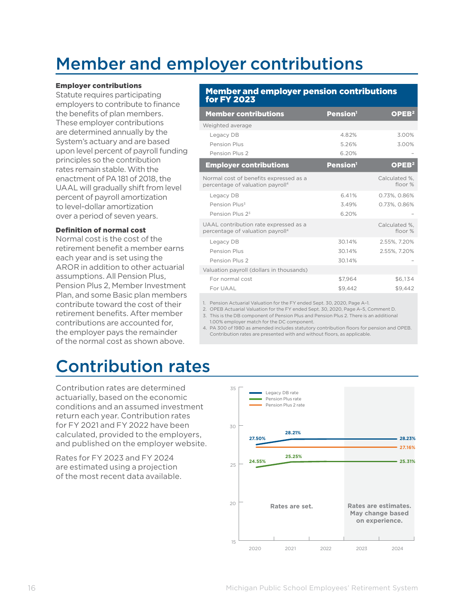## Member and employer contributions

#### Employer contributions

Statute requires participating employers to contribute to finance the benefits of plan members. These employer contributions are determined annually by the System's actuary and are based upon level percent of payroll funding principles so the contribution rates remain stable. With the enactment of PA 181 of 2018, the UAAL will gradually shift from level percent of payroll amortization to level-dollar amortization over a period of seven years.

#### Definition of normal cost

Normal cost is the cost of the retirement benefit a member earns each year and is set using the AROR in addition to other actuarial assumptions. All Pension Plus, Pension Plus 2, Member Investment Plan, and some Basic plan members contribute toward the cost of their retirement benefits. After member contributions are accounted for, the employer pays the remainder of the normal cost as shown above.

#### Member and employer pension contributions for FY 2023

| <b>Member contributions</b>                                                            | <b>Pension</b> <sup>1</sup> | OPEB <sup>2</sup>          |
|----------------------------------------------------------------------------------------|-----------------------------|----------------------------|
| Weighted average                                                                       |                             |                            |
| Legacy DB                                                                              | 4.82%                       | 3.00%                      |
| Pension Plus                                                                           | 5.26%                       | 3.00%                      |
| Pension Plus 2                                                                         | 6.20%                       |                            |
| <b>Employer contributions</b>                                                          | Pension <sup>1</sup>        | OPEB <sup>2</sup>          |
| Normal cost of benefits expressed as a<br>percentage of valuation payroll <sup>4</sup> |                             | Calculated %.<br>floor $%$ |
| Legacy DB                                                                              | 6.41%                       | 0.73%, 0.86%               |
| Pension Plus <sup>3</sup>                                                              | 3.49%                       | 0.73%, 0.86%               |
| Pension Plus 23                                                                        | 6.20%                       |                            |
| UAAL contribution rate expressed as a<br>percentage of valuation payroll <sup>4</sup>  |                             | Calculated %.<br>floor $%$ |
| Legacy DB                                                                              | 3014%                       | 2.55%, 7.20%               |
| Pension Plus                                                                           | 30.14%                      | 2.55%, 7.20%               |
| Pension Plus 2                                                                         | 30.14%                      |                            |
| Valuation payroll (dollars in thousands)                                               |                             |                            |
| For normal cost                                                                        | \$7.964                     | \$6.134                    |
| For UAAL                                                                               | \$9.442                     | \$9.442                    |

1. Pension Actuarial Valuation for the FY ended Sept. 30, 2020, Page A–1.

2. OPEB Actuarial Valuation for the FY ended Sept. 30, 2020, Page A–5, Comment D.

3. This is the DB component of Pension Plus and Pension Plus 2. There is an additional 1.00% employer match for the DC component.

4. PA 300 of 1980 as amended includes statutory contribution floors for pension and OPEB. Contribution rates are presented with and without floors, as applicable.

### Contribution rates

Contribution rates are determined actuarially, based on the economic conditions and an assumed investment return each year. Contribution rates for FY 2021 and FY 2022 have been calculated, provided to the employers, and published on the employer website.

Rates for FY 2023 and FY 2024 are estimated using a projection of the most recent data available.

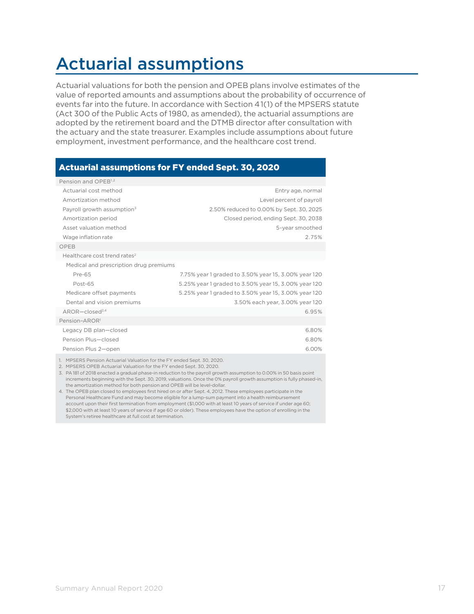## Actuarial assumptions

Actuarial valuations for both the pension and OPEB plans involve estimates of the value of reported amounts and assumptions about the probability of occurrence of events far into the future. In accordance with Section 41(1) of the MPSERS statute (Act 300 of the Public Acts of 1980, as amended), the actuarial assumptions are adopted by the retirement board and the DTMB director after consultation with the actuary and the state treasurer. Examples include assumptions about future employment, investment performance, and the healthcare cost trend.

### Actuarial assumptions for FY ended Sept. 30, 2020

| Pension and OPEB <sup>1,2</sup>                                    |                                                      |
|--------------------------------------------------------------------|------------------------------------------------------|
| Actuarial cost method                                              | Entry age, normal                                    |
| Amortization method                                                | Level percent of payroll                             |
| Payroll growth assumption <sup>3</sup>                             | 2.50% reduced to 0.00% by Sept. 30, 2025             |
| Amortization period                                                | Closed period, ending Sept. 30, 2038                 |
| Asset valuation method                                             | 5-year smoothed                                      |
| Wage inflation rate                                                | 2.75%                                                |
| OPEB                                                               |                                                      |
| Healthcare cost trend rates <sup>2</sup>                           |                                                      |
| Medical and prescription drug premiums                             |                                                      |
| Pre-65                                                             | 7.75% year 1 graded to 3.50% year 15, 3.00% year 120 |
| Post-65                                                            | 5.25% year 1 graded to 3.50% year 15, 3.00% year 120 |
| Medicare offset payments                                           | 5.25% year 1 graded to 3.50% year 15, 3.00% year 120 |
| Dental and vision premiums                                         | 3.50% each year, 3.00% year 120                      |
| $AROR - closed2,4$                                                 | 6.95%                                                |
| Pension-AROR <sup>1</sup>                                          |                                                      |
| Legacy DB plan-closed                                              | 6.80%                                                |
| Pension Plus-closed                                                | 6.80%                                                |
| Pension Plus 2-open                                                | 6.00%                                                |
| 1 MDCEDC Dencian Actuarial Valuation for the EV anded Cant ZO 2020 |                                                      |

1. MPSERS Pension Actuarial Valuation for the FY ended Sept. 30, 2020.

2. MPSERS OPEB Actuarial Valuation for the FY ended Sept. 30, 2020.

3. PA 181 of 2018 enacted a gradual phase-in reduction to the payroll growth assumption to 0.00% in 50 basis point increments beginning with the Sept. 30, 2019, valuations. Once the 0% payroll growth assumption is fully phased-in, the amortization method for both pension and OPEB will be level-dollar.

4. The OPEB plan closed to employees first hired on or after Sept. 4, 2012. These employees participate in the Personal Healthcare Fund and may become eligible for a lump-sum payment into a health reimbursement account upon their first termination from employment (\$1,000 with at least 10 years of service if under age 60; \$2,000 with at least 10 years of service if age 60 or older). These employees have the option of enrolling in the System's retiree healthcare at full cost at termination.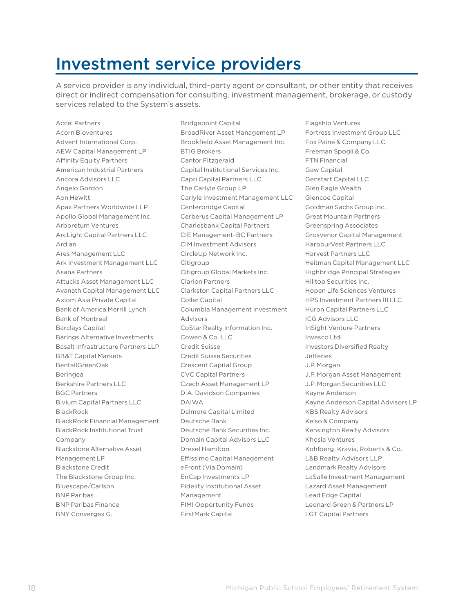### Investment service providers

A service provider is any individual, third-party agent or consultant, or other entity that receives direct or indirect compensation for consulting, investment management, brokerage, or custody services related to the System's assets.

Accel Partners Acorn Bioventures Advent International Corp. AEW Capital Management LP Affinity Equity Partners American Industrial Partners Ancora Advisors LLC Angelo Gordon Aon Hewitt Apax Partners Worldwide LLP Apollo Global Management Inc. Arboretum Ventures ArcLight Capital Partners LLC Ardian Ares Management LLC Ark Investment Management LLC Asana Partners Attucks Asset Management LLC Avanath Capital Management LLC Axiom Asia Private Capital Bank of America Merrill Lynch Bank of Montreal Barclays Capital Barings Alternative Investments Basalt Infrastructure Partners LLP BB&T Capital Markets BentallGreenOak Beringea Berkshire Partners LLC BGC Partners Bivium Capital Partners LLC BlackRock BlackRock Financial Management BlackRock Institutional Trust Company Blackstone Alternative Asset Management LP Blackstone Credit The Blackstone Group Inc. Bluescape/Carlson BNP Paribas BNP Paribas Finance BNY Convergex G.

Bridgepoint Capital BroadRiver Asset Management LP Brookfield Asset Management Inc. BTIG Brokers Cantor Fitzgerald Capital Institutional Services Inc. Capri Capital Partners LLC The Carlyle Group LP Carlyle Investment Management LLC Centerbridge Capital Cerberus Capital Management LP Charlesbank Capital Partners CIE Management–BC Partners CIM Investment Advisors CircleUp Network Inc. Citigroup Citigroup Global Markets Inc. Clarion Partners Clarkston Capital Partners LLC Coller Capital Columbia Management Investment Advisors CoStar Realty Information Inc. Cowen & Co. LLC Credit Suisse Credit Suisse Securities Crescent Capital Group CVC Capital Partners Czech Asset Management LP D.A. Davidson Companies DAIWA Dalmore Capital Limited Deutsche Bank Deutsche Bank Securities Inc. Domain Capital Advisors LLC Drexel Hamilton Effissimo Capital Management eFront (Via Domain) EnCap Investments LP Fidelity Institutional Asset Management FIMI Opportunity Funds FirstMark Capital

Flagship Ventures Fortress Investment Group LLC Fox Paine & Company LLC Freeman Spogli & Co. FTN Financial Gaw Capital Genstart Capital LLC Glen Eagle Wealth Glencoe Capital Goldman Sachs Group Inc. Great Mountain Partners Greenspring Associates Grosvenor Capital Management HarbourVest Partners LLC Harvest Partners LLC Heitman Capital Management LLC Highbridge Principal Strategies Hilltop Securities Inc. Hopen Life Sciences Ventures HPS Investment Partners III LLC Huron Capital Partners LLC ICG Advisors LLC InSight Venture Partners Invesco Ltd. Investors Diversified Realty Jefferies J.P.Morgan J.P. Morgan Asset Management J.P. Morgan Securities LLC Kayne Anderson Kayne Anderson Capital Advisors LP KBS Realty Advisors Kelso & Company Kensington Realty Advisors Khosla Ventures Kohlberg, Kravis, Roberts & Co. L&B Realty Advisors LLP Landmark Realty Advisors LaSalle Investment Management Lazard Asset Management Lead Edge Capital Leonard Green & Partners LP LGT Capital Partners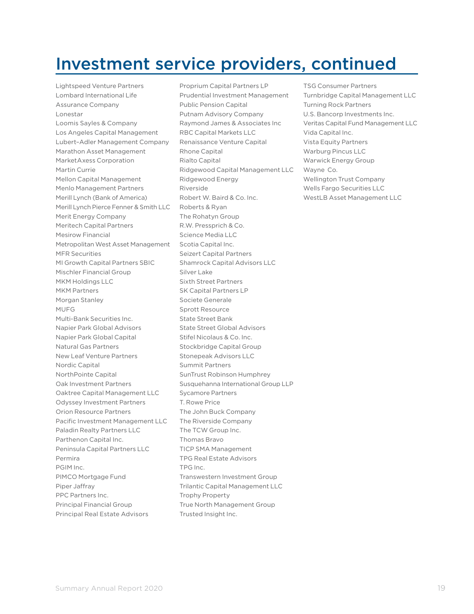### Investment service providers, continued

Lightspeed Venture Partners Lombard International Life Assurance Company Lonestar Loomis Sayles & Company Los Angeles Capital Management Lubert–Adler Management Company Marathon Asset Management MarketAxess Corporation Martin Currie Mellon Capital Management Menlo Management Partners Merill Lynch (Bank of America) Merill Lynch Pierce Fenner & Smith LLC Merit Energy Company Meritech Capital Partners Mesirow Financial Metropolitan West Asset Management MFR Securities MI Growth Capital Partners SBIC Mischler Financial Group MKM Holdings LLC MKM Partners Morgan Stanley MUFG Multi-Bank Securities Inc. Napier Park Global Advisors Napier Park Global Capital Natural Gas Partners New Leaf Venture Partners Nordic Capital NorthPointe Capital Oak Investment Partners Oaktree Capital Management LLC Odyssey Investment Partners Orion Resource Partners Pacific Investment Management LLC Paladin Realty Partners LLC Parthenon Capital Inc. Peninsula Capital Partners LLC Permira PGIM Inc. PIMCO Mortgage Fund Piper Jaffray PPC Partners Inc. Principal Financial Group Principal Real Estate Advisors

Proprium Capital Partners LP Prudential Investment Management Public Pension Capital Putnam Advisory Company Raymond James & Associates Inc RBC Capital Markets LLC Renaissance Venture Capital Rhone Capital Rialto Capital Ridgewood Capital Management LLC Ridgewood Energy Riverside Robert W. Baird & Co. Inc. Roberts & Ryan The Rohatyn Group R.W. Pressprich & Co. Science Media LLC Scotia Capital Inc. Seizert Capital Partners Shamrock Capital Advisors LLC Silver Lake Sixth Street Partners SK Capital Partners LP Societe Generale Sprott Resource State Street Bank State Street Global Advisors Stifel Nicolaus & Co. Inc. Stockbridge Capital Group Stonepeak Advisors LLC Summit Partners SunTrust Robinson Humphrey Susquehanna International Group LLP Sycamore Partners T. Rowe Price The John Buck Company The Riverside Company The TCW Group Inc. Thomas Bravo TICP SMA Management TPG Real Estate Advisors TPG Inc. Transwestern Investment Group Trilantic Capital Management LLC Trophy Property True North Management Group Trusted Insight Inc.

TSG Consumer Partners Turnbridge Capital Management LLC Turning Rock Partners U.S. Bancorp Investments Inc. Veritas Capital Fund Management LLC Vida Capital Inc. Vista Equity Partners Warburg Pincus LLC Warwick Energy Group Wayne Co. Wellington Trust Company Wells Fargo Securities LLC WestLB Asset Management LLC